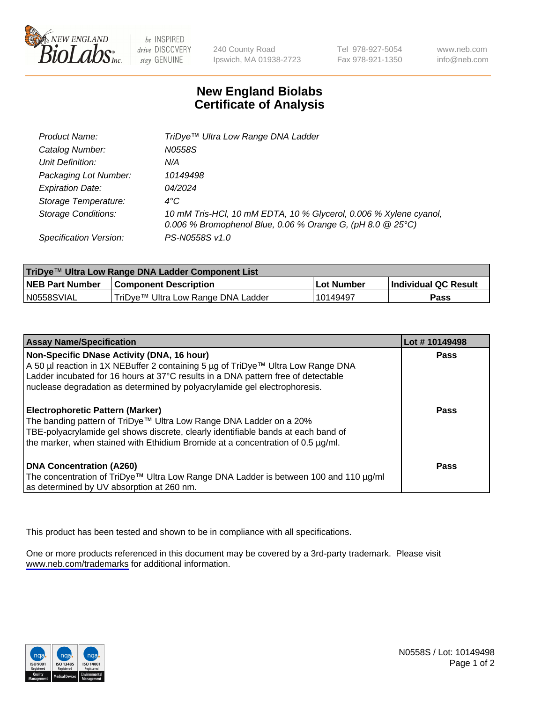

be INSPIRED drive DISCOVERY stay GENUINE

240 County Road Ipswich, MA 01938-2723 Tel 978-927-5054 Fax 978-921-1350

www.neb.com info@neb.com

## **New England Biolabs Certificate of Analysis**

| Product Name:              | TriDye™ Ultra Low Range DNA Ladder                                                                                                |
|----------------------------|-----------------------------------------------------------------------------------------------------------------------------------|
| Catalog Number:            | N0558S                                                                                                                            |
| Unit Definition:           | N/A                                                                                                                               |
| Packaging Lot Number:      | 10149498                                                                                                                          |
| <b>Expiration Date:</b>    | 04/2024                                                                                                                           |
| Storage Temperature:       | $4^{\circ}$ C                                                                                                                     |
| <b>Storage Conditions:</b> | 10 mM Tris-HCl, 10 mM EDTA, 10 % Glycerol, 0.006 % Xylene cyanol,<br>0.006 % Bromophenol Blue, 0.06 % Orange G, (pH 8.0 $@25°C$ ) |
| Specification Version:     | PS-N0558S v1.0                                                                                                                    |

| TriDye™ Ultra Low Range DNA Ladder Component List |                                    |             |                      |  |
|---------------------------------------------------|------------------------------------|-------------|----------------------|--|
| <b>NEB Part Number</b>                            | <b>Component Description</b>       | ⊥Lot Number | Individual QC Result |  |
| N0558SVIAL                                        | TriDye™ Ultra Low Range DNA Ladder | l 10149497  | Pass                 |  |

| <b>Assay Name/Specification</b>                                                                                                                                                                                                                                                                  | Lot #10149498 |
|--------------------------------------------------------------------------------------------------------------------------------------------------------------------------------------------------------------------------------------------------------------------------------------------------|---------------|
| Non-Specific DNase Activity (DNA, 16 hour)<br>A 50 µl reaction in 1X NEBuffer 2 containing 5 µg of TriDye™ Ultra Low Range DNA<br>Ladder incubated for 16 hours at 37°C results in a DNA pattern free of detectable<br>nuclease degradation as determined by polyacrylamide gel electrophoresis. | <b>Pass</b>   |
| <b>Electrophoretic Pattern (Marker)</b><br>The banding pattern of TriDye™ Ultra Low Range DNA Ladder on a 20%<br>TBE-polyacrylamide gel shows discrete, clearly identifiable bands at each band of<br>the marker, when stained with Ethidium Bromide at a concentration of 0.5 µg/ml.            | Pass          |
| <b>DNA Concentration (A260)</b><br>The concentration of TriDye™ Ultra Low Range DNA Ladder is between 100 and 110 µg/ml<br>as determined by UV absorption at 260 nm.                                                                                                                             | Pass          |

This product has been tested and shown to be in compliance with all specifications.

One or more products referenced in this document may be covered by a 3rd-party trademark. Please visit <www.neb.com/trademarks>for additional information.